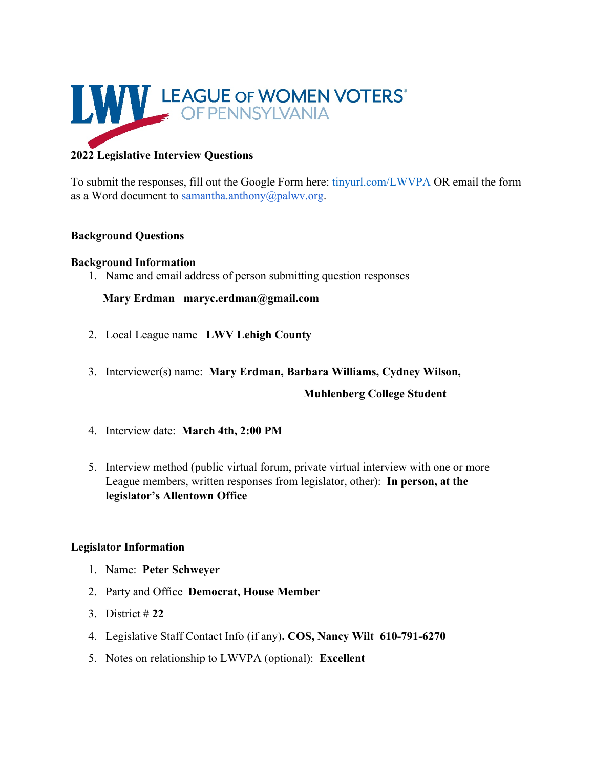

# **2022 Legislative Interview Questions**

To submit the responses, fill out the Google Form here: tinyurl.com/LWVPA OR email the form as a Word document to samantha.anthony@palwv.org.

# **Background Questions**

### **Background Information**

1. Name and email address of person submitting question responses

# **Mary Erdman maryc.erdman@gmail.com**

- 2. Local League name **LWV Lehigh County**
- 3. Interviewer(s) name: **Mary Erdman, Barbara Williams, Cydney Wilson,**

# **Muhlenberg College Student**

- 4. Interview date: **March 4th, 2:00 PM**
- 5. Interview method (public virtual forum, private virtual interview with one or more League members, written responses from legislator, other): **In person, at the legislator's Allentown Office**

# **Legislator Information**

- 1. Name: **Peter Schweyer**
- 2. Party and Office **Democrat, House Member**
- 3. District # **22**
- 4. Legislative Staff Contact Info (if any)**. COS, Nancy Wilt 610-791-6270**
- 5. Notes on relationship to LWVPA (optional): **Excellent**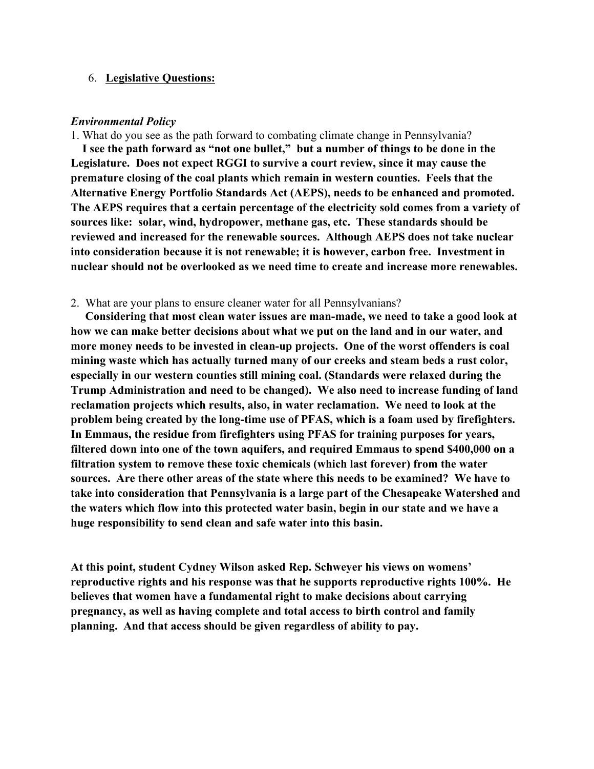### 6. **Legislative Questions:**

### *Environmental Policy*

1. What do you see as the path forward to combating climate change in Pennsylvania?

 **I see the path forward as "not one bullet," but a number of things to be done in the Legislature. Does not expect RGGI to survive a court review, since it may cause the premature closing of the coal plants which remain in western counties. Feels that the Alternative Energy Portfolio Standards Act (AEPS), needs to be enhanced and promoted. The AEPS requires that a certain percentage of the electricity sold comes from a variety of sources like: solar, wind, hydropower, methane gas, etc. These standards should be reviewed and increased for the renewable sources. Although AEPS does not take nuclear into consideration because it is not renewable; it is however, carbon free. Investment in nuclear should not be overlooked as we need time to create and increase more renewables.**

### 2. What are your plans to ensure cleaner water for all Pennsylvanians?

 **Considering that most clean water issues are man-made, we need to take a good look at how we can make better decisions about what we put on the land and in our water, and more money needs to be invested in clean-up projects. One of the worst offenders is coal mining waste which has actually turned many of our creeks and steam beds a rust color, especially in our western counties still mining coal. (Standards were relaxed during the Trump Administration and need to be changed). We also need to increase funding of land reclamation projects which results, also, in water reclamation. We need to look at the problem being created by the long-time use of PFAS, which is a foam used by firefighters. In Emmaus, the residue from firefighters using PFAS for training purposes for years, filtered down into one of the town aquifers, and required Emmaus to spend \$400,000 on a filtration system to remove these toxic chemicals (which last forever) from the water sources. Are there other areas of the state where this needs to be examined? We have to take into consideration that Pennsylvania is a large part of the Chesapeake Watershed and the waters which flow into this protected water basin, begin in our state and we have a huge responsibility to send clean and safe water into this basin.**

**At this point, student Cydney Wilson asked Rep. Schweyer his views on womens' reproductive rights and his response was that he supports reproductive rights 100%. He believes that women have a fundamental right to make decisions about carrying pregnancy, as well as having complete and total access to birth control and family planning. And that access should be given regardless of ability to pay.**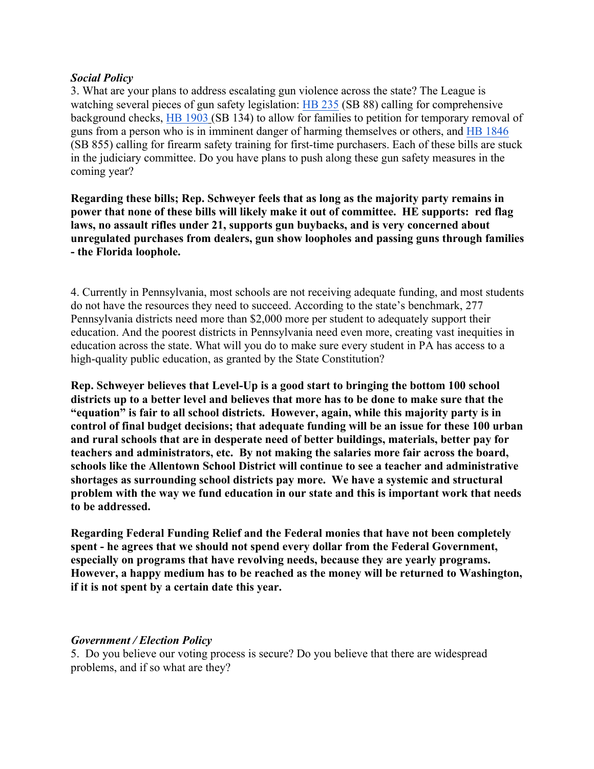### *Social Policy*

3. What are your plans to address escalating gun violence across the state? The League is watching several pieces of gun safety legislation: HB 235 (SB 88) calling for comprehensive background checks, HB 1903 (SB 134) to allow for families to petition for temporary removal of guns from a person who is in imminent danger of harming themselves or others, and HB 1846 (SB 855) calling for firearm safety training for first-time purchasers. Each of these bills are stuck in the judiciary committee. Do you have plans to push along these gun safety measures in the coming year?

**Regarding these bills; Rep. Schweyer feels that as long as the majority party remains in power that none of these bills will likely make it out of committee. HE supports: red flag laws, no assault rifles under 21, supports gun buybacks, and is very concerned about unregulated purchases from dealers, gun show loopholes and passing guns through families - the Florida loophole.**

4. Currently in Pennsylvania, most schools are not receiving adequate funding, and most students do not have the resources they need to succeed. According to the state's benchmark, 277 Pennsylvania districts need more than \$2,000 more per student to adequately support their education. And the poorest districts in Pennsylvania need even more, creating vast inequities in education across the state. What will you do to make sure every student in PA has access to a high-quality public education, as granted by the State Constitution?

**Rep. Schweyer believes that Level-Up is a good start to bringing the bottom 100 school districts up to a better level and believes that more has to be done to make sure that the "equation" is fair to all school districts. However, again, while this majority party is in control of final budget decisions; that adequate funding will be an issue for these 100 urban and rural schools that are in desperate need of better buildings, materials, better pay for teachers and administrators, etc. By not making the salaries more fair across the board, schools like the Allentown School District will continue to see a teacher and administrative shortages as surrounding school districts pay more. We have a systemic and structural problem with the way we fund education in our state and this is important work that needs to be addressed.**

**Regarding Federal Funding Relief and the Federal monies that have not been completely spent - he agrees that we should not spend every dollar from the Federal Government, especially on programs that have revolving needs, because they are yearly programs. However, a happy medium has to be reached as the money will be returned to Washington, if it is not spent by a certain date this year.**

### *Government / Election Policy*

5. Do you believe our voting process is secure? Do you believe that there are widespread problems, and if so what are they?